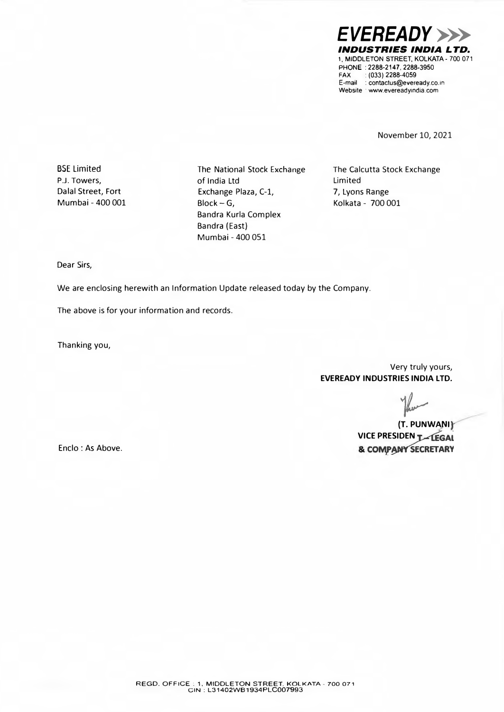*EVEREADY>>> INDUSTRIES INDIA LTD.*  1, MIDDLETON STREET, KOLKATA- 700 071 PHONE : 2288-2147, 2288-3950 FAX : (033) 2288-4059 E-mail : contactus@eveready.co.in Website · www.evereadyindia.com

November 10, 2021

BSE Limited P.J. Towers, Dalal Street, Fort Mumbai - 400 001 The National Stock Exchange of India Ltd Exchange Plaza, C-1, Block-G, Bandra Kurla Complex Bandra (East) Mumbai - 400 051

The Calcutta Stock Exchange Limited 7, Lyons Range Kolkata - 700 001

Dear Sirs,

We are enclosing herewith an Information Update released today by the Company.

The above is for your information and records.

Thanking you,

Very truly yours, **EVEREADY INDUSTRIES INDIA LTD.** 

fleet

 $(T.$  PUNWANI} **VICE PRESIDEN TALEGAL** & COMPANY SECRETARY

Enclo : As Above.